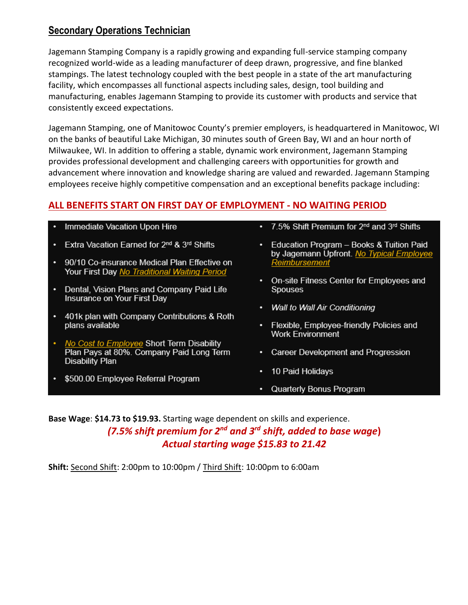## **Secondary Operations Technician**

Jagemann Stamping Company is a rapidly growing and expanding full-service stamping company recognized world-wide as a leading manufacturer of deep drawn, progressive, and fine blanked stampings. The latest technology coupled with the best people in a state of the art manufacturing facility, which encompasses all functional aspects including sales, design, tool building and manufacturing, enables Jagemann Stamping to provide its customer with products and service that consistently exceed expectations.

Jagemann Stamping, one of Manitowoc County's premier employers, is headquartered in Manitowoc, WI on the banks of beautiful Lake Michigan, 30 minutes south of Green Bay, WI and an hour north of Milwaukee, WI. In addition to offering a stable, dynamic work environment, Jagemann Stamping provides professional development and challenging careers with opportunities for growth and advancement where innovation and knowledge sharing are valued and rewarded. Jagemann Stamping employees receive highly competitive compensation and an exceptional benefits package including:

## **ALL BENEFITS START ON FIRST DAY OF EMPLOYMENT - NO WAITING PERIOD**

| $\bullet$ | Immediate Vacation Upon Hire |  |  |  |
|-----------|------------------------------|--|--|--|
|-----------|------------------------------|--|--|--|

- Extra Vacation Earned for 2<sup>nd</sup> & 3<sup>rd</sup> Shifts
- 90/10 Co-insurance Medical Plan Effective on Your First Day No Traditional Waiting Period
- Dental, Vision Plans and Company Paid Life Insurance on Your First Day
- 401k plan with Company Contributions & Roth plans available
- No Cost to Employee Short Term Disability Plan Pays at 80%. Company Paid Long Term **Disability Plan**
- \$500.00 Employee Referral Program
- 7.5% Shift Premium for 2<sup>nd</sup> and 3<sup>rd</sup> Shifts
- Education Program Books & Tuition Paid by Jagemann Upfront. No Typical Employee <u>Reimbursement</u>
- On-site Fitness Center for Employees and Spouses
- Wall to Wall Air Conditioning
- Flexible, Employee-friendly Policies and **Work Environment**
- Career Development and Progression
- 10 Paid Holidays
- Quarterly Bonus Program

**Base Wage**: **\$14.73 to \$19.93.** Starting wage dependent on skills and experience. *(7.5% shift premium for 2nd and 3rd shift, added to base wage***)** *Actual starting wage \$15.83 to 21.42*

**Shift:** Second Shift: 2:00pm to 10:00pm / Third Shift: 10:00pm to 6:00am